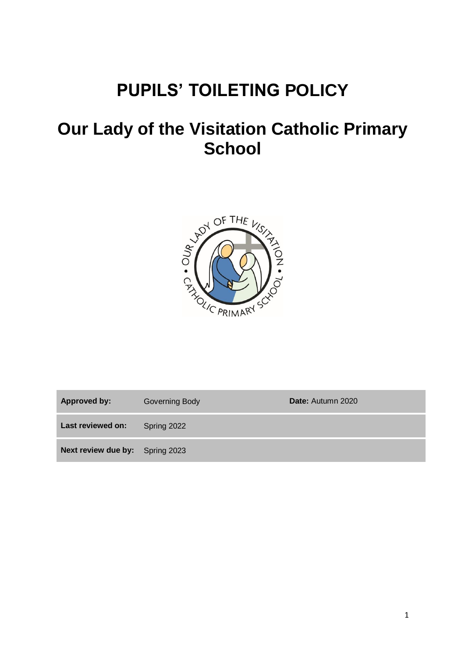# **PUPILS' TOILETING POLICY**

## **Our Lady of the Visitation Catholic Primary School**



| <b>Approved by:</b>                    | Governing Body | Date: Autumn 2020 |
|----------------------------------------|----------------|-------------------|
| Last reviewed on:                      | Spring 2022    |                   |
| <b>Next review due by:</b> Spring 2023 |                |                   |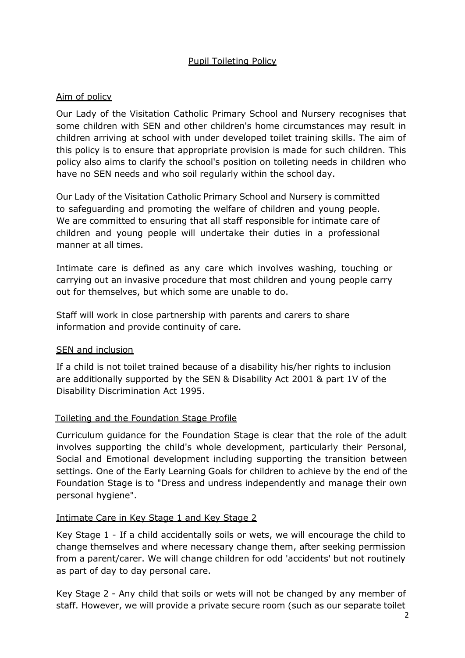#### Pupil Toileting Policy

#### Aim of policy

Our Lady of the Visitation Catholic Primary School and Nursery recognises that some children with SEN and other children's home circumstances may result in children arriving at school with under developed toilet training skills. The aim of this policy is to ensure that appropriate provision is made for such children. This policy also aims to clarify the school's position on toileting needs in children who have no SEN needs and who soil regularly within the school day.

Our Lady of the Visitation Catholic Primary School and Nursery is committed to safeguarding and promoting the welfare of children and young people. We are committed to ensuring that all staff responsible for intimate care of children and young people will undertake their duties in a professional manner at all times.

Intimate care is defined as any care which involves washing, touching or carrying out an invasive procedure that most children and young people carry out for themselves, but which some are unable to do.

Staff will work in close partnership with parents and carers to share information and provide continuity of care.

#### SEN and inclusion

If a child is not toilet trained because of a disability his/her rights to inclusion are additionally supported by the SEN & Disability Act 2001 & part 1V of the Disability Discrimination Act 1995.

#### Toileting and the Foundation Stage Profile

Curriculum guidance for the Foundation Stage is clear that the role of the adult involves supporting the child's whole development, particularly their Personal, Social and Emotional development including supporting the transition between settings. One of the Early Learning Goals for children to achieve by the end of the Foundation Stage is to "Dress and undress independently and manage their own personal hygiene".

#### Intimate Care in Key Stage 1 and Key Stage 2

Key Stage 1 - If a child accidentally soils or wets, we will encourage the child to change themselves and where necessary change them, after seeking permission from a parent/carer. We will change children for odd 'accidents' but not routinely as part of day to day personal care.

Key Stage 2 - Any child that soils or wets will not be changed by any member of staff. However, we will provide a private secure room (such as our separate toilet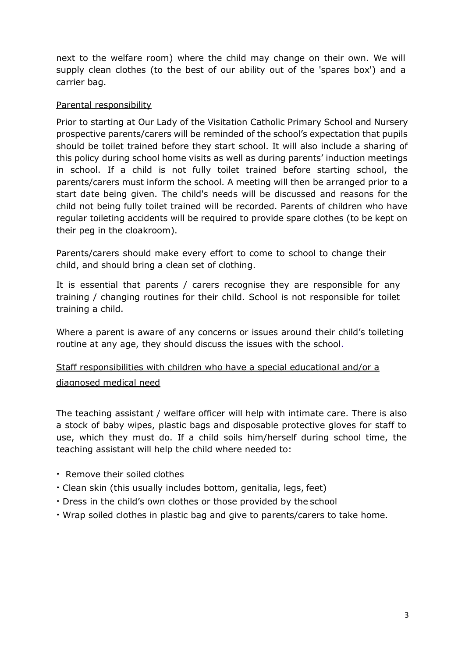next to the welfare room) where the child may change on their own. We will supply clean clothes (to the best of our ability out of the 'spares box') and a carrier bag.

#### Parental responsibility

Prior to starting at Our Lady of the Visitation Catholic Primary School and Nursery prospective parents/carers will be reminded of the school's expectation that pupils should be toilet trained before they start school. It will also include a sharing of this policy during school home visits as well as during parents' induction meetings in school. If a child is not fully toilet trained before starting school, the parents/carers must inform the school. A meeting will then be arranged prior to a start date being given. The child's needs will be discussed and reasons for the child not being fully toilet trained will be recorded. Parents of children who have regular toileting accidents will be required to provide spare clothes (to be kept on their peg in the cloakroom).

Parents/carers should make every effort to come to school to change their child, and should bring a clean set of clothing.

It is essential that parents / carers recognise they are responsible for any training / changing routines for their child. School is not responsible for toilet training a child.

Where a parent is aware of any concerns or issues around their child's toileting routine at any age, they should discuss the issues with the school.

## Staff responsibilities with children who have a special educational and/or a diagnosed medical need

The teaching assistant / welfare officer will help with intimate care. There is also a stock of baby wipes, plastic bags and disposable protective gloves for staff to use, which they must do. If a child soils him/herself during school time, the teaching assistant will help the child where needed to:

- Remove their soiled clothes
- Clean skin (this usually includes bottom, genitalia, legs, feet)
- Dress in the child's own clothes or those provided by the school
- Wrap soiled clothes in plastic bag and give to parents/carers to take home.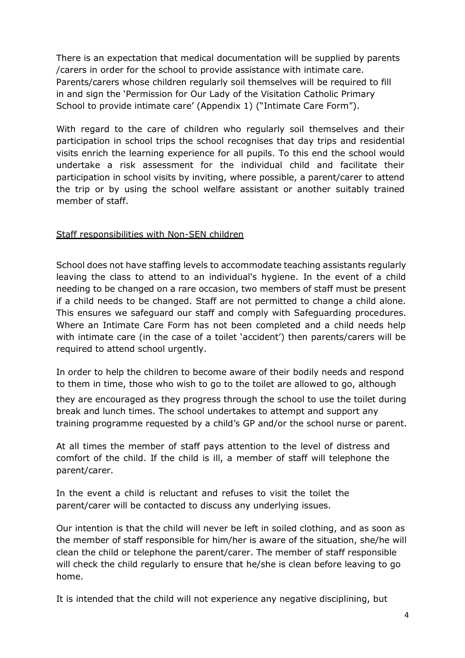There is an expectation that medical documentation will be supplied by parents /carers in order for the school to provide assistance with intimate care. Parents/carers whose children regularly soil themselves will be required to fill in and sign the 'Permission for Our Lady of the Visitation Catholic Primary School to provide intimate care' (Appendix 1) ("Intimate Care Form").

With regard to the care of children who regularly soil themselves and their participation in school trips the school recognises that day trips and residential visits enrich the learning experience for all pupils. To this end the school would undertake a risk assessment for the individual child and facilitate their participation in school visits by inviting, where possible, a parent/carer to attend the trip or by using the school welfare assistant or another suitably trained member of staff.

#### Staff responsibilities with Non-SEN children

School does not have staffing levels to accommodate teaching assistants regularly leaving the class to attend to an individual's hygiene. In the event of a child needing to be changed on a rare occasion, two members of staff must be present if a child needs to be changed. Staff are not permitted to change a child alone. This ensures we safeguard our staff and comply with Safeguarding procedures. Where an Intimate Care Form has not been completed and a child needs help with intimate care (in the case of a toilet 'accident') then parents/carers will be required to attend school urgently.

In order to help the children to become aware of their bodily needs and respond to them in time, those who wish to go to the toilet are allowed to go, although

they are encouraged as they progress through the school to use the toilet during break and lunch times. The school undertakes to attempt and support any training programme requested by a child's GP and/or the school nurse or parent.

At all times the member of staff pays attention to the level of distress and comfort of the child. If the child is ill, a member of staff will telephone the parent/carer.

In the event a child is reluctant and refuses to visit the toilet the parent/carer will be contacted to discuss any underlying issues.

Our intention is that the child will never be left in soiled clothing, and as soon as the member of staff responsible for him/her is aware of the situation, she/he will clean the child or telephone the parent/carer. The member of staff responsible will check the child regularly to ensure that he/she is clean before leaving to go home.

It is intended that the child will not experience any negative disciplining, but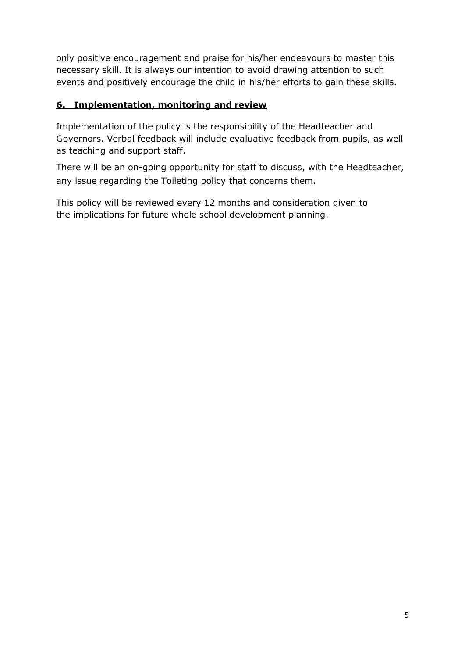only positive encouragement and praise for his/her endeavours to master this necessary skill. It is always our intention to avoid drawing attention to such events and positively encourage the child in his/her efforts to gain these skills.

### **6. Implementation, monitoring and review**

Implementation of the policy is the responsibility of the Headteacher and Governors. Verbal feedback will include evaluative feedback from pupils, as well as teaching and support staff.

There will be an on-going opportunity for staff to discuss, with the Headteacher, any issue regarding the Toileting policy that concerns them.

This policy will be reviewed every 12 months and consideration given to the implications for future whole school development planning.